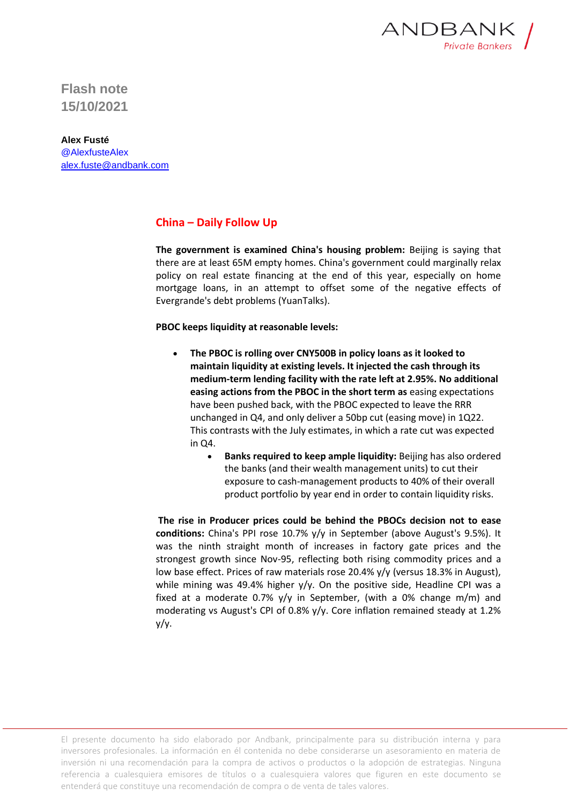

**Flash note 15/10/2021**

**Alex Fusté** @AlexfusteAlex [alex.fuste@andbank.com](mailto:alex.fuste@andbank.com)

## **China – Daily Follow Up**

**The government is examined China's housing problem:** Beijing is saying that there are at least 65M empty homes. China's government could marginally relax policy on real estate financing at the end of this year, especially on home mortgage loans, in an attempt to offset some of the negative effects of Evergrande's debt problems (YuanTalks).

**PBOC keeps liquidity at reasonable levels:**

- **The PBOC is rolling over CNY500B in policy loans as it looked to maintain liquidity at existing levels. It injected the cash through its medium-term lending facility with the rate left at 2.95%. No additional easing actions from the PBOC in the short term as** easing expectations have been pushed back, with the PBOC expected to leave the RRR unchanged in Q4, and only deliver a 50bp cut (easing move) in 1Q22. This contrasts with the July estimates, in which a rate cut was expected in Q4.
	- **Banks required to keep ample liquidity:** Beijing has also ordered the banks (and their wealth management units) to cut their exposure to cash-management products to 40% of their overall product portfolio by year end in order to contain liquidity risks.

**The rise in Producer prices could be behind the PBOCs decision not to ease conditions:** China's PPI rose 10.7% y/y in September (above August's 9.5%). It was the ninth straight month of increases in factory gate prices and the strongest growth since Nov-95, reflecting both rising commodity prices and a low base effect. Prices of raw materials rose 20.4% y/y (versus 18.3% in August), while mining was 49.4% higher y/y. On the positive side, Headline CPI was a fixed at a moderate 0.7%  $y/y$  in September, (with a 0% change m/m) and moderating vs August's CPI of 0.8% y/y. Core inflation remained steady at 1.2% y/y.

El presente documento ha sido elaborado por Andbank, principalmente para su distribución interna y para inversores profesionales. La información en él contenida no debe considerarse un asesoramiento en materia de inversión ni una recomendación para la compra de activos o productos o la adopción de estrategias. Ninguna referencia a cualesquiera emisores de títulos o a cualesquiera valores que figuren en este documento se entenderá que constituye una recomendación de compra o de venta de tales valores.